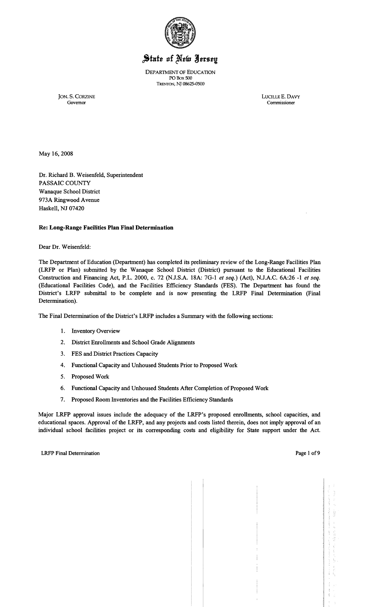

# State of New Jersey

DEPARTMENT OF EDUCATION PO Box 500 TRENTON, NJ 08625-0500

JON. S. CORZINE LUCILLE E. DAVY Governor Commissioner

Governor Commissioner

May 16,2008

Dr. Richard B. Weisenfeld, Superintendent PASSAIC COUNTY Wanaque School District 973A Ringwood Avenue Haskell, NJ 07420

## Re: Long-Range Facilities Plan Final Determination

Dear Dr. Weisenfeld:

The Department of Education (Department) has completed its preliminary review of the Long-Range Facilities Plan (LRFP or Plan) submitted by the Wanaque School District (District) pursuant to the Educational Facilities Construction and Financing Act, P.L. 2000, c. 72 (N.J.S.A. 18A: 7G-l *et seq.)* (Act), N.J.A.C. 6A:26 -1 *et seq.*  (Educational Facilities Code), and the Facilities Efficiency Standards (FES). The Department has found the District's LRFP submittal to be complete and is now presenting the LRFP Final Determination (Final Determination).

The Final Determination of the District's LRFP includes a Summary with the following sections:

- 1. Inventory Overview
- 2. District Enrollments and School Grade Alignments
- 3. FES and District Practices Capacity
- 4. Functional Capacity and Unhoused Students Prior to Proposed Work
- 5. Proposed Work
- 6. Functional Capacity and Unhoused Students After Completion of Proposed Work
- 7. Proposed Room Inventories and the Facilities Efficiency Standards

Major LRFP approval issues include the adequacy of the LRFP's proposed enrollments, school capacities, and educational spaces. Approval of the LRFP, and any projects and costs listed therein, does not imply approval of an individual school facilities project or its corresponding costs and eligibility for State support under the Act.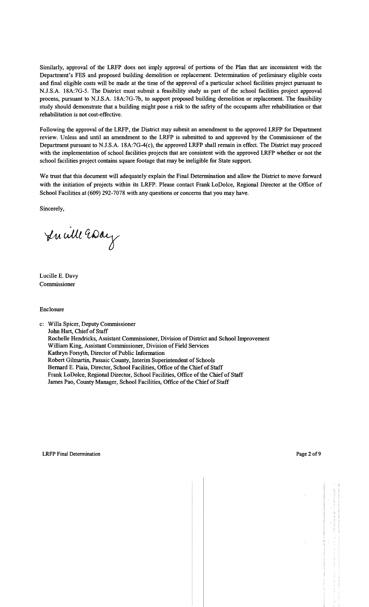Similarly, approval of the LRFP does not imply approval of portions of the Plan that are inconsistent with the Department's FES and proposed building demolition or replacement. Determination of preliminary eligible costs and final eligible costs will be made at the time of the approval of a particular school facilities project pursuant to N.J.S.A. 18A:7G-5. The District must submit a feasibility study as part of the school facilities project approval process, pursuant to N.J.S.A. 18A:7G-7b, to support proposed building demolition or replacement. The feasibility study should demonstrate that a building might pose a risk to the safety of the occupants after rehabilitation or that rehabilitation is not cost-effective.

Following the approval of the LRFP, the District may submit an amendment to the approved LRFP for Department review. Unless and until an amendment to the LRFP is submitted to and approved by the Commissioner of the Department pursuant to NJ.S.A. 18A:7G-4(c), the approved LRFP shall remain in effect. The District may proceed with the implementation of school facilities projects that are consistent with the approved LRFP whether or not the school facilities project contains square footage that may be ineligible for State support.

We trust that this document will adequately explain the Final Determination and allow the District to move forward with the initiation of projects within its LRFP. Please contact Frank LoDolce, Regional Director at the Office of School Facilities at (609) 292-7078 with any questions or concerns that you may have.

Sincerely,

In will Essay

Lucille E. Davy Commissioner

Enclosure

c: Willa Spicer, Deputy Commissioner John Hart, Chief of Staff Rochelle Hendricks, Assistant Commissioner, Division of District and School Improvement William King, Assistant Commissioner, Division of Field Services Kathryn Forsyth, Director of Public Information Robert Gilmartin, Passaic County, Interim Superintendent of Schools Bernard E. Piaia, Director, School Facilities, Office of the Chief of Staff Frank LoDolce, Regional Director, School Facilities, Office of the Chief of Staff James Pao, County Manager, School Facilities, Office of the Chief of Staff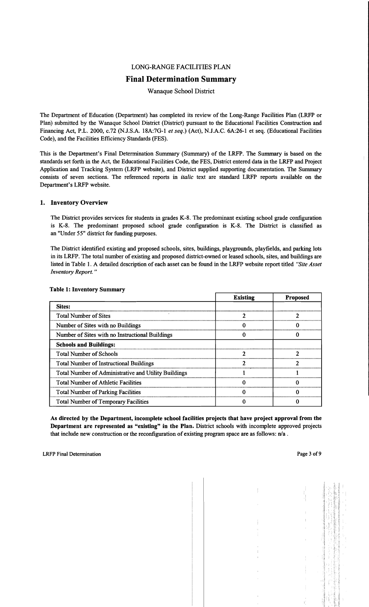## LONG-RANGE FACILITIES PLAN

## Final Determination Summary

Wanaque School District

The Department of Education (Department) has completed its review of the Long-Range Facilities Plan (LRFP or Plan) submitted by the Wanaque School District (District) pursuant to the Educational Facilities Construction and Financing Act, P.L. 2000, c.72 (N.J.S.A. 18A:7G-1 *et seq.)* (Act), N.J.A.C. 6A:26-1 et seq. (Educational Facilities Code), and the Facilities Efficiency Standards (FES).

This is the Department's Final Determination Summary (Summary) of the LRFP. The Summary is based on the standards set forth in the Act, the Educational Facilities Code, the FES, District entered data in the LRFP and Project Application and Tracking System (LRFP website), and District supplied supporting documentation. The Summary consists of seven sections. The referenced reports in *italic* text are standard LRFP reports available on the Department's LRFP website.

#### 1. Inventory Overview

The District provides services for students in grades K-8. The predominant existing school grade configuration is K-8. The predominant proposed school grade configuration is K-8. The District is classified as an "Under 55" district for funding purposes.

The District identified existing and proposed schools, sites, buildings, playgrounds, playfields, and parking lots in its LRFP. The total number of existing and proposed district-owned or leased schools, sites, and buildings are listed in Table 1. A detailed description of each asset can be found in the LRFP website report titled *"Site Asset Inventory Report. "* 

|                                                      | <b>Existing</b> | <b>Proposed</b> |
|------------------------------------------------------|-----------------|-----------------|
| Sites:                                               |                 |                 |
| <b>Total Number of Sites</b>                         |                 |                 |
| Number of Sites with no Buildings                    |                 |                 |
| Number of Sites with no Instructional Buildings      |                 |                 |
| <b>Schools and Buildings:</b>                        |                 |                 |
| <b>Total Number of Schools</b>                       |                 |                 |
| <b>Total Number of Instructional Buildings</b>       |                 |                 |
| Total Number of Administrative and Utility Buildings |                 |                 |
| <b>Total Number of Athletic Facilities</b>           |                 |                 |
| <b>Total Number of Parking Facilities</b>            |                 |                 |
| <b>Total Number of Temporary Facilities</b>          |                 |                 |

#### Table 1: Inventory Summary

As directed by the Department, incomplete school facilities projects that have project approval from the Department are represented as "existing" in the Plan. District schools with incomplete approved projects that include new construction or the reconfiguration of existing program space are as follows:  $n/a$ .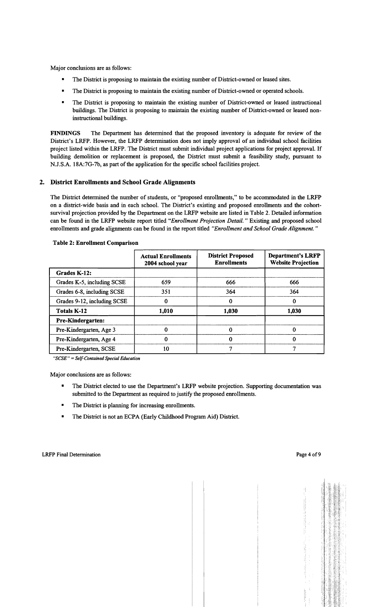Major conclusions are as follows:

- The District is proposing to maintain the existing number of District-owned or leased sites.
- The District is proposing to maintain the existing number of District-owned or operated schools.
- The District is proposing to maintain the existing number of District-owned or leased instructional buildings. The District is proposing to maintain the existing number of District-owned or leased noninstructional buildings.

FINDINGS The Department has determined that the proposed inventory is adequate for review of the District's LRFP. However, the LRFP determination does not imply approval of an individual school facilities project listed within the LRFP. The District must submit individual project applications for project approval. If building demolition or replacement is proposed, the District must submit a feasibility study, pursuant to N.J.S.A. 18A:7G-7b, as part of the application for the specific school facilities project.

## 2. District Enrollments and School Grade Alignments

The District determined the number of students, or "proposed enrollments," to be accommodated in the LRFP on a district-wide basis and in each school. The District's existing and proposed enrollments and the cohortsurvival projection provided by the Department on the LRFP website are listed in Table 2. Detailed information can be found in the LRFP website report titled *"Enrollment Projection Detail."* Existing and proposed school enrollments and grade alignments can be found in the report titled *"Enrollment and School Grade Alignment. "* 

|                             | <b>Actual Enrollments</b><br>2004 school year | <b>District Proposed</b><br><b>Enrollments</b> | <b>Department's LRFP</b><br><b>Website Projection</b> |  |
|-----------------------------|-----------------------------------------------|------------------------------------------------|-------------------------------------------------------|--|
| Grades K-12:                |                                               |                                                |                                                       |  |
| Grades K-5, including SCSE  | 659                                           | 666                                            | 666                                                   |  |
| Grades 6-8, including SCSE  | 351                                           | 364                                            | 364                                                   |  |
| Grades 9-12, including SCSE | 0                                             |                                                | 0                                                     |  |
| <b>Totals K-12</b>          | 1,010                                         | 1,030                                          | 1,030                                                 |  |
| Pre-Kindergarten:           |                                               |                                                |                                                       |  |
| Pre-Kindergarten, Age 3     | 0                                             |                                                | 0                                                     |  |
| Pre-Kindergarten, Age 4     | 0                                             |                                                | 0                                                     |  |
| Pre-Kindergarten, SCSE      | 10                                            |                                                | ┑                                                     |  |

#### Table 2: Enrollment Comparison

*"SCSE"* = *Self-Contained Special Education* 

Major conclusions are as follows:

- The District elected to use the Department's LRFP website projection. Supporting documentation was submitted to the Department as required to justify the proposed enrollments.
- The District is planning for increasing enrollments.
- The District is not an ECPA (Early Childhood Program Aid) District.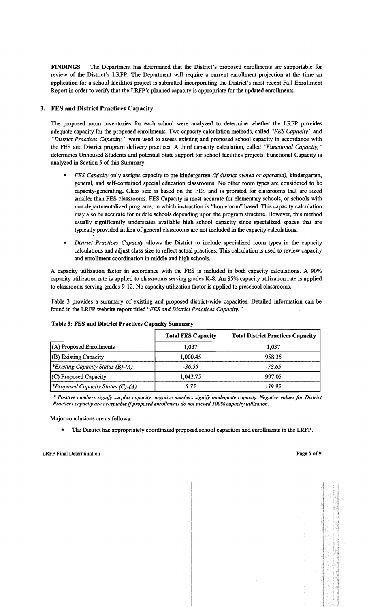FINDINGS The Department has determined that the District's proposed enrollments are supportable for review of the District's LRFP. The Department will require a current enrollment projection at the time an application for a school facilities project is submitted incorporating the District's most recent Fall Enrollment Report in order to verify that the LRFP's planned capacity is appropriate for the updated enrollments.

## 3. FES and District Practices Capacity

The proposed room inventories for each school were analyzed to determine whether the LRFP provides adequate capacity for the proposed enrollments. Two capacity calculation methods, called *"FES Capacity"* and *"District Practices Capacity,* " were used to assess existing and proposed school capacity in accordance with the FES and District program delivery practices. A third capacity calculation, called *"Functional Capacity, "*  determines Unhoused Students and potential State support for school facilities projects. Functional Capacity is analyzed in Section 5 of this Summary.

- *FES Capacity* only assigns capacity to pre-kindergarten *(if district-owned or operated),* kindergarten, general, and self-contained special education classrooms. No other room types are considered to be capacity-generating. Class size is based on the FES and is prorated for classrooms that are sized smaller than FES classrooms. FES Capacity is most accurate for elementary schools, or schools with non-departmentalized programs, in which instruction is "homeroom" based. This capacity calculation may also be accurate for middle schools depending upon the program structure. However, this method usually significantly understates available high school capacity since specialized spaces that are typically provided in lieu of general classrooms are not included in the capacity calculations.
- *District Practices Capacity* allows the District to include specialized room types in the capacity calculations and adjust class size to reflect actual practices. This calculation is used to review capacity and enrollment coordination in middle and high schools.

A capacity utilization factor in accordance with the FES is included in both capacity calculations. A 90% capacity utilization rate is applied to classrooms serving grades K-8. An 85% capacity utilization rate is applied to classrooms serving grades 9-12. No capacity utilization factor is applied to preschool classrooms.

Table 3 provides a summary of existing and proposed district-wide capacities. Detailed information can be found in the LRFP website report titled *"FES and District Practices Capacity. "* 

| Table 3: FES and District Practices Capacity Summary |                           |                                          |  |  |  |
|------------------------------------------------------|---------------------------|------------------------------------------|--|--|--|
|                                                      | <b>Total FES Capacity</b> | <b>Total District Practices Capacity</b> |  |  |  |
| (A) Proposed Enrollments                             | 1.037                     | 1,037                                    |  |  |  |
| (B) Existing Capacity                                | 1,000.45                  | 958.35                                   |  |  |  |
| <i>Existing Capacity Status (B)-(A)</i>              | $-36.55$                  | $-78.65$                                 |  |  |  |
| (C) Proposed Capacity                                | 1,042.75                  | 997.05                                   |  |  |  |
| <b>*Proposed Capacity Status (C)-(A)</b>             | 5.75                      | $-39.95$                                 |  |  |  |

#### Table 3: FES and District Practices Capacity Summary

*• Positive numbers signify surplus capacity; negative numbers signify inadequate capacity. Negative values for District Practices capacity are acceptable* if*proposed enrollments do not exceed 100% capacity utilization.* 

Major conclusions are as follows:

The District has appropriately coordinated proposed school capacities and enrollments in the LRFP.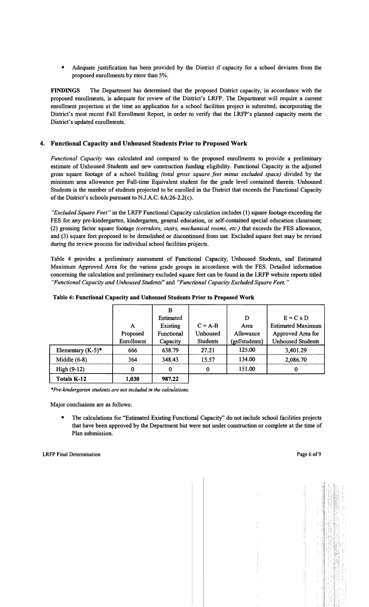• Adequate justification has been provided by the District if capacity for a school deviates from the proposed enrollments by more than 5%.

FINDINGS The Department has determined that the proposed District capacity, in accordance with the proposed enrollments, is adequate for review of the District's LRFP. The Department will require a current enrollment projection at the time an application for a school facilities project is submitted, incorporating the District's most recent Fall Enrollment Report, in order to verify that the LRFP's planned capacity meets the District's updated enrollments.

## 4. Functional Capacity and Unhoused Students Prior to Proposed Work

*Functional Capacity* was calculated and compared to the proposed enrollments to provide a preliminary estimate of Unhoused Students and new construction funding eligibility. Functional Capacity is the adjusted gross square footage of a school building *(total gross square feet minus excluded space)* divided by the minimum area allowance per Full-time Equivalent student for the grade level contained therein. Unhoused Students is the number of students projected to be enrolled in the District that exceeds the Functional Capacity of the District's schools pursuant to N.J.A.C. 6A:26-2.2(c).

*"Excluded Square Feet"* in the LRFP Functional Capacity calculation includes (1) square footage exceeding the FES for any pre-kindergarten, kindergarten, general education, or self-contained special education classroom; (2) grossing factor square footage *(corridors, stairs, mechanical rooms, etc.)* that exceeds the FES allowance, and (3) square feet proposed to be demolished or discontinued from use. Excluded square feet may be revised during the review process for individual school facilities projects.

Table 4 provides a preliminary assessment of Functional Capacity, Unhoused Students, and Estimated Maximum Approved Area for the various grade groups in accordance with the FES. Detailed information concerning the calculation and preliminary excluded square feet can be found in the LRFP website reports titled *"Functional Capacity and Unhoused Students"* and *"Functional Capacity Excluded Square Feet. "* 

|                      |            | B          |                 |                |                          |
|----------------------|------------|------------|-----------------|----------------|--------------------------|
|                      |            | Estimated  |                 | D              | $E = C x D$              |
|                      | A          | Existing   | $C = A-B$       | Area           | <b>Estimated Maximum</b> |
|                      | Proposed   | Functional | Unhoused        | Allowance      | Approved Area for        |
|                      | Enrollment | Capacity   | <b>Students</b> | (gsf/students) | <b>Unhoused Students</b> |
| Elementary $(K-5)^*$ | 666        | 638.79     | 27.21           | 125.00         | 3,401.29                 |
| Middle $(6-8)$       | 364        | 348.43     | 15.57           | 134.00         | 2,086.70                 |
| $High(9-12)$         | 0          | 0          | 0               | 151.00         | 0                        |
| <b>Totals K-12</b>   | 1,030      | 987.22     |                 |                |                          |

*\*Pre-kindergarten students are not included in the calculations.* 

Major conclusions are as follows:

• The calculations for "Estimated Existing Functional Capacity" do not include school facilities projects that have been approved by the Department but were not under construction or complete at the time of Plan submission.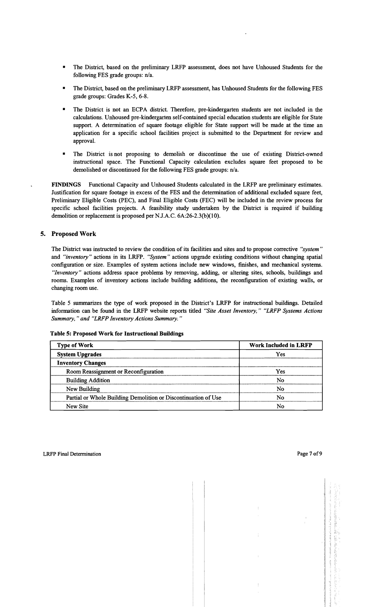- The District, based on the preliminary LRFP assessment, does not have Unhoused Students for the following FES grade groups: n/a.
- The District, based on the preliminary LRFP assessment, has Unhoused Students for the following FES grade groups: Grades K-5, 6-8.
- The District is not an ECPA district. Therefore, pre-kindergarten students are not included in the calculations. Unhoused pre-kindergarten self-contained special education students are eligible for State support. A determination of square footage eligible for State support will be made at the time an application for a specific school facilities project is submitted to the Department for review and approval.
- The District is not proposing to demolish or discontinue the use of existing District-owned instructional space. The Functional Capacity calculation excludes square feet proposed to be demolished or discontinued for the following FES grade groups: n/a.

FINDINGS Functional Capacity and Unhoused Students calculated in the LRFP are preliminary estimates. Justification for square footage in excess of the FES and the determination of additional excluded square feet, Preliminary Eligible Costs (PEC), and Final Eligible Costs (FEC) will be included in the review process for specific school facilities projects. A feasibility study undertaken by the District is required if building demolition or replacement is proposed per NJ.A.C. 6A:26-2.3(b)(10).

## 5. Proposed Work

The District was instructed to review the condition of its facilities and sites and to propose corrective *"system"*  and *"inventory"* actions in its LRFP. *"System"* actions upgrade existing conditions without changing spatial configuration or size. Examples of system actions include new windows, finishes, and mechanical systems. *"Inventory"* actions address space problems by removing, adding, or altering sites, schools, buildings and rooms. Examples of inventory actions include building additions, the reconfiguration of existing walls, or changing room use.

Table 5 summarizes the type of work proposed in the District's LRFP for instructional buildings. Detailed information can be found in the LRFP website reports titled *"Site Asset Inventory," "LRFP Systems Actions Summary,* " *and "LRFP Inventory Actions Summary. "* 

#### Table 5: Proposed Work for Instructional Buildings

| <b>Type of Work</b>                                            | <b>Work Included in LRFP</b> |
|----------------------------------------------------------------|------------------------------|
| <b>System Upgrades</b>                                         | Yes                          |
| <b>Inventory Changes</b>                                       |                              |
| Room Reassignment or Reconfiguration                           | Yes                          |
| <b>Building Addition</b>                                       | No                           |
| New Building                                                   | No                           |
| Partial or Whole Building Demolition or Discontinuation of Use | No                           |
| New Site                                                       | No                           |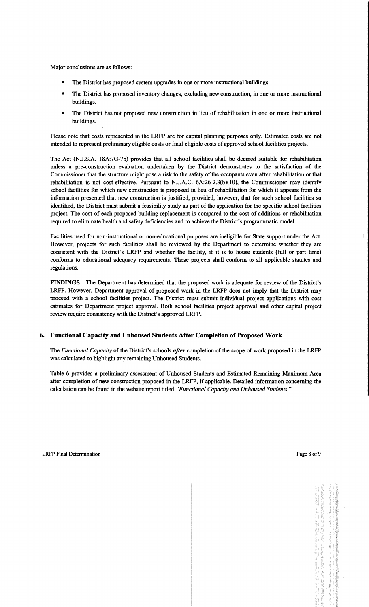Major conclusions are as follows:

- The District has proposed system upgrades in one or more instructional buildings.
- The District has proposed inventory changes, excluding new construction, in one or more instructional buildings.
- The District has not proposed new construction in lieu of rehabilitation in one or more instructional buildings.

Please note that costs represented in the LRFP are for capital planning purposes only. Estimated costs are not intended to represent preliminary eligible costs or fmal eligible costs of approved school facilities projects.

The Act (N.J.S.A. 18A:7G-7b) provides that all school facilities shall be deemed suitable for rehabilitation unless a pre-construction evaluation undertaken by the District demonstrates to the satisfaction of the Commissioner that the structure might pose a risk to the safety of the occupants even after rehabilitation or that rehabilitation is not cost-effective. Pursuant to N.J.A.C. 6A:26-2.3(b)(10), the Commissioner may identify school facilities for which new construction is proposed in lieu of rehabilitation for which it appears from the information presented that new construction is justified, provided, however, that for such school facilities so identified, the District must submit a feasibility study as part of the application for the specific school facilities project. The cost of each proposed building replacement is compared to the cost of additions or rehabilitation required to eliminate health and safety deficiencies and to achieve the District's programmatic model.

Facilities used for non-instructional or non-educational purposes are ineligible for State support under the Act. However, projects for such facilities shall be reviewed by the Department to determine whether they are consistent with the District's LRFP and whether the facility, if it is to house students (full or part time) conforms to educational adequacy requirements. These projects shall conform to all applicable statutes and regulations.

FINDINGS The Department has determined that the proposed work is adequate for review of the District's LRFP. However, Department approval of proposed work in the LRFP does not imply that the District may proceed with a school facilities project. The District must submit individual project applications with cost estimates for Department project approval. Both school facilities project approval and other capital project review require consistency with the District's approved LRFP.

## 6. Functional Capacity and Unhoused Students After Completion of Proposed Work

The *Functional Capacity* of the District's schools *after* completion of the scope of work proposed in the LRFP was calculated to highlight any remaining Unhoused Students.

Table 6 provides a preliminary assessment of Unhoused Students and Estimated Remaining Maximum Area after completion of new construction proposed in the LRFP, if applicable. Detailed information concerning the calculation can be found in the website report titled *"Functional Capacity and Unhoused Students."*